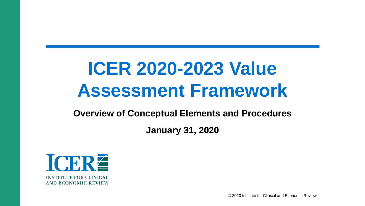# **ICER 2020-2023 Value Assessment Framework**

**Overview of Conceptual Elements and Procedures**

**January 31, 2020**



© 2020 Institute for Clinical and Economic Review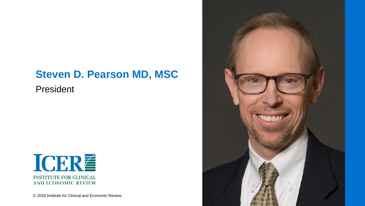#### **Steven D. Pearson MD, MSC**

President



© 2020 Institute for Clinical and Economic Review

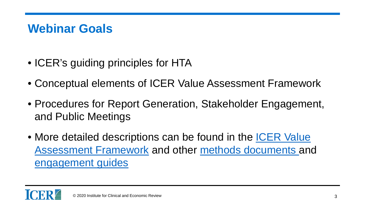### **Webinar Goals**

- ICER's guiding principles for HTA
- Conceptual elements of ICER Value Assessment Framework
- Procedures for Report Generation, Stakeholder Engagement, and Public Meetings
- [More detailed descriptions can be found in the ICER Value](https://icer-review.org/methodology/icers-methods/icer-value-assessment-framework-2/) Assessment Framework and other [methods documents](https://icer-review.org/methodology/icers-methods/icer-value-assessment-framework-2/) and [engagement guides](https://icer-review.org/methodology/stakeholder-engagement/)

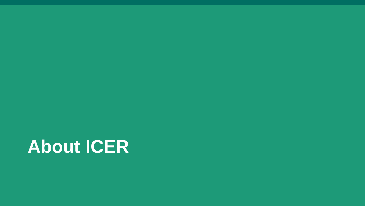# **About ICER**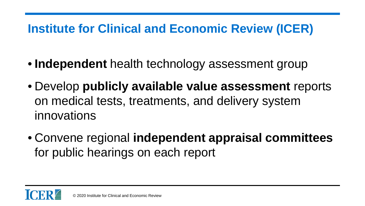# **Institute for Clinical and Economic Review (ICER)**

- **Independent** health technology assessment group
- Develop **publicly available value assessment** reports on medical tests, treatments, and delivery system innovations
- Convene regional **independent appraisal committees** for public hearings on each report

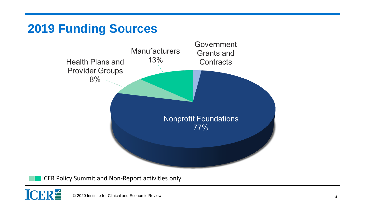# **2019 Funding Sources**



**ICER Policy Summit and Non-Report activities only** 

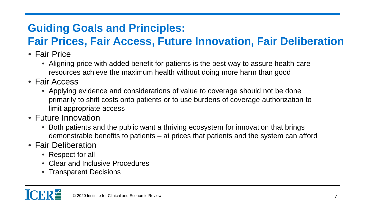# **Guiding Goals and Principles:**

# **Fair Prices, Fair Access, Future Innovation, Fair Deliberation**

- Fair Price
	- Aligning price with added benefit for patients is the best way to assure health care resources achieve the maximum health without doing more harm than good
- Fair Access
	- Applying evidence and considerations of value to coverage should not be done primarily to shift costs onto patients or to use burdens of coverage authorization to limit appropriate access
- Future Innovation
	- Both patients and the public want a thriving ecosystem for innovation that brings demonstrable benefits to patients – at prices that patients and the system can afford
- Fair Deliberation
	- Respect for all
	- Clear and Inclusive Procedures
	- Transparent Decisions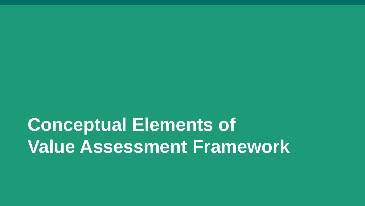**Conceptual Elements of Value Assessment Framework**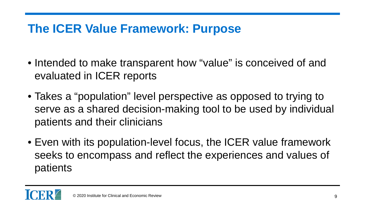# **The ICER Value Framework: Purpose**

- Intended to make transparent how "value" is conceived of and evaluated in ICER reports
- Takes a "population" level perspective as opposed to trying to serve as a shared decision-making tool to be used by individual patients and their clinicians
- Even with its population-level focus, the ICER value framework seeks to encompass and reflect the experiences and values of patients

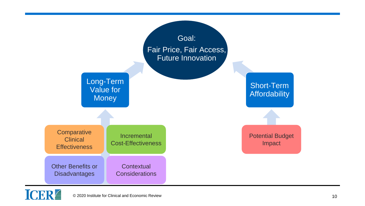

## **ICER**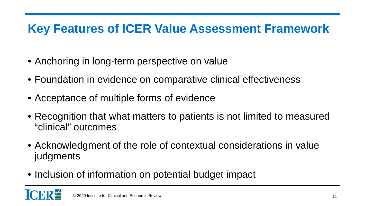# **Key Features of ICER Value Assessment Framework**

- Anchoring in long-term perspective on value
- Foundation in evidence on comparative clinical effectiveness
- Acceptance of multiple forms of evidence
- Recognition that what matters to patients is not limited to measured "clinical" outcomes
- Acknowledgment of the role of contextual considerations in value judgments
- Inclusion of information on potential budget impact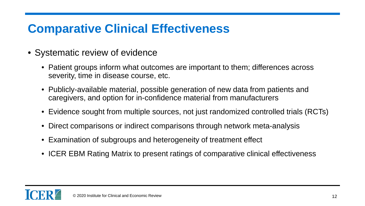# **Comparative Clinical Effectiveness**

- Systematic review of evidence
	- Patient groups inform what outcomes are important to them; differences across severity, time in disease course, etc.
	- Publicly-available material, possible generation of new data from patients and caregivers, and option for in-confidence material from manufacturers
	- Evidence sought from multiple sources, not just randomized controlled trials (RCTs)
	- Direct comparisons or indirect comparisons through network meta-analysis
	- Examination of subgroups and heterogeneity of treatment effect
	- ICER EBM Rating Matrix to present ratings of comparative clinical effectiveness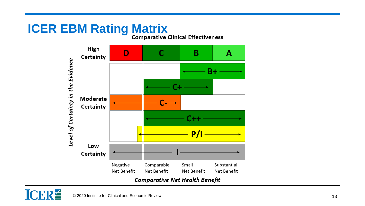# **ICER EBM Rating Matrix**<br>Comparative Clinical Effectiveness

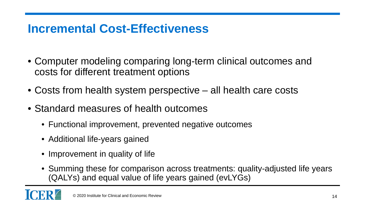### **Incremental Cost-Effectiveness**

- Computer modeling comparing long-term clinical outcomes and costs for different treatment options
- Costs from health system perspective all health care costs
- Standard measures of health outcomes
	- Functional improvement, prevented negative outcomes
	- Additional life-years gained
	- Improvement in quality of life
	- Summing these for comparison across treatments: quality-adjusted life years (QALYs) and equal value of life years gained (evLYGs)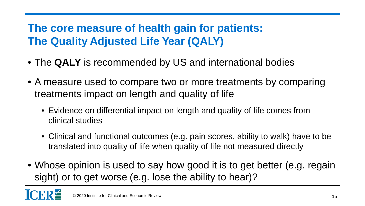#### **The core measure of health gain for patients: The Quality Adjusted Life Year (QALY)**

- The **QALY** is recommended by US and international bodies
- A measure used to compare two or more treatments by comparing treatments impact on length and quality of life
	- Evidence on differential impact on length and quality of life comes from clinical studies
	- Clinical and functional outcomes (e.g. pain scores, ability to walk) have to be translated into quality of life when quality of life not measured directly
- Whose opinion is used to say how good it is to get better (e.g. regain sight) or to get worse (e.g. lose the ability to hear)?

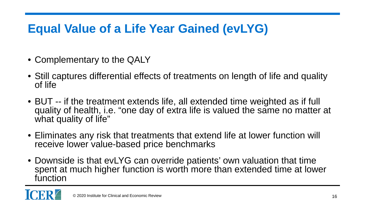# **Equal Value of a Life Year Gained (evLYG)**

- Complementary to the QALY
- Still captures differential effects of treatments on length of life and quality of life
- BUT -- if the treatment extends life, all extended time weighted as if full quality of health, i.e. "one day of extra life is valued the same no matter at what quality of life"
- Eliminates any risk that treatments that extend life at lower function will receive lower value-based price benchmarks
- Downside is that evLYG can override patients' own valuation that time spent at much higher function is worth more than extended time at lower function

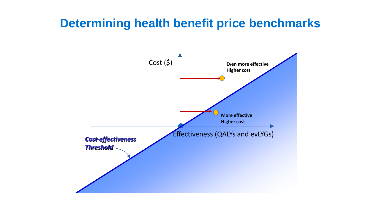#### **Determining health benefit price benchmarks**

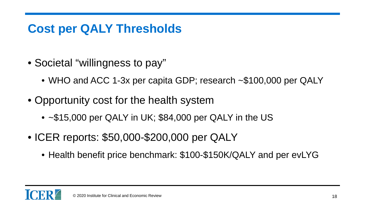# **Cost per QALY Thresholds**

- Societal "willingness to pay"
	- WHO and ACC 1-3x per capita GDP; research ~\$100,000 per QALY
- Opportunity cost for the health system
	- ~\$15,000 per QALY in UK; \$84,000 per QALY in the US
- ICER reports: \$50,000-\$200,000 per QALY
	- Health benefit price benchmark: \$100-\$150K/QALY and per evLYG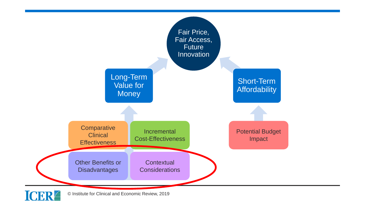

© Institute for Clinical and Economic Review, 2019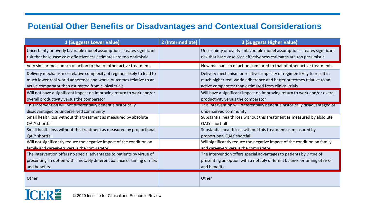#### **Potential Other Benefits or Disadvantages and Contextual Considerations**

| 1 (Suggests Lower Value)                                                                                                                                                                             | 2 (Intermediate) | <b>3 (Suggests Higher Value)</b>                                                                                                                                                                         |
|------------------------------------------------------------------------------------------------------------------------------------------------------------------------------------------------------|------------------|----------------------------------------------------------------------------------------------------------------------------------------------------------------------------------------------------------|
| Uncertainty or overly favorable model assumptions creates significant<br>risk that base-case cost-effectiveness estimates are too optimistic                                                         |                  | Uncertainty or overly unfavorable model assumptions creates significant<br>risk that base-case cost-effectiveness estimates are too pessimistic                                                          |
| Very similar mechanism of action to that of other active treatments                                                                                                                                  |                  | New mechanism of action compared to that of other active treatments                                                                                                                                      |
| Delivery mechanism or relative complexity of regimen likely to lead to<br>much lower real-world adherence and worse outcomes relative to an<br>active comparator than estimated from clinical trials |                  | Delivery mechanism or relative simplicity of regimen likely to result in<br>much higher real-world adherence and better outcomes relative to an<br>active comparator than estimated from clinical trials |
| Will not have a significant impact on improving return to work and/or<br>overall productivity versus the comparator                                                                                  |                  | Will have a significant impact on improving return to work and/or overall<br>productivity versus the comparator                                                                                          |
| This intervention will not differentially benefit a historically<br>disadvantaged or underserved community                                                                                           |                  | This intervention will differentially benefit a historically disadvantaged or<br>underserved community                                                                                                   |
| Small health loss without this treatment as measured by absolute<br><b>QALY</b> shortfall                                                                                                            |                  | Substantial health loss without this treatment as measured by absolute<br><b>QALY shortfall</b>                                                                                                          |
| Small health loss without this treatment as measured by proportional<br><b>QALY shortfall</b>                                                                                                        |                  | Substantial health loss without this treatment as measured by<br>proportional QALY shortfall                                                                                                             |
| Will not significantly reduce the negative impact of the condition on<br>family and caregivers versus the comparator                                                                                 |                  | Will significantly reduce the negative impact of the condition on family<br>and caregivers versus the comparator                                                                                         |
| The intervention offers no special advantages to patients by virtue of<br>presenting an option with a notably different balance or timing of risks<br>and benefits                                   |                  | The intervention offers special advantages to patients by virtue of<br>presenting an option with a notably different balance or timing of risks<br>and benefits                                          |
| Other                                                                                                                                                                                                |                  | Other                                                                                                                                                                                                    |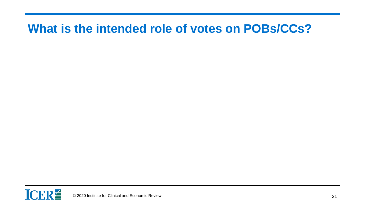#### **What is the intended role of votes on POBs/CCs?**

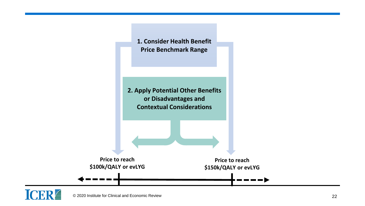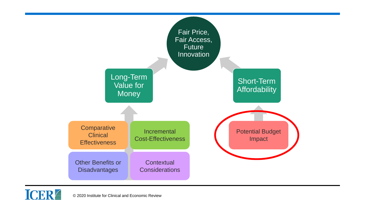

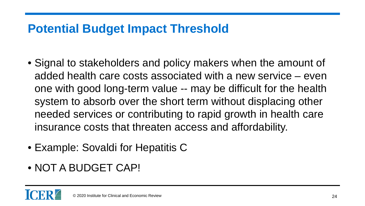## **Potential Budget Impact Threshold**

- Signal to stakeholders and policy makers when the amount of added health care costs associated with a new service – even one with good long-term value -- may be difficult for the health system to absorb over the short term without displacing other needed services or contributing to rapid growth in health care insurance costs that threaten access and affordability.
- Example: Sovaldi for Hepatitis C
- NOT A BUDGET CAP!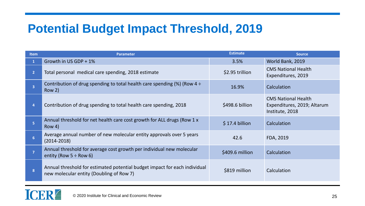### **Potential Budget Impact Threshold, 2019**

| <b>Item</b>    | <b>Parameter</b>                                                                                                       | <b>Estimate</b> | <b>Source</b>                                                                |
|----------------|------------------------------------------------------------------------------------------------------------------------|-----------------|------------------------------------------------------------------------------|
|                | Growth in US GDP + 1%                                                                                                  | 3.5%            | World Bank, 2019                                                             |
| 2 <sup>1</sup> | Total personal medical care spending, 2018 estimate                                                                    | \$2.95 trillion | <b>CMS National Health</b><br>Expenditures, 2019                             |
| 3              | Contribution of drug spending to total health care spending $(\%)$ (Row 4 ÷<br>Row 2)                                  | 16.9%           | Calculation                                                                  |
| 4              | Contribution of drug spending to total health care spending, 2018                                                      | \$498.6 billion | <b>CMS National Health</b><br>Expenditures, 2019; Altarum<br>Institute, 2018 |
| 5 <sup>1</sup> | Annual threshold for net health care cost growth for ALL drugs (Row 1 x<br>Row 4)                                      | $$17.4$ billion | Calculation                                                                  |
| 6 <sup>1</sup> | Average annual number of new molecular entity approvals over 5 years<br>$(2014 - 2018)$                                | 42.6            | FDA, 2019                                                                    |
| $\overline{7}$ | Annual threshold for average cost growth per individual new molecular<br>entity (Row $5 \div$ Row 6)                   | \$409.6 million | Calculation                                                                  |
| 8              | Annual threshold for estimated potential budget impact for each individual<br>new molecular entity (Doubling of Row 7) | \$819 million   | Calculation                                                                  |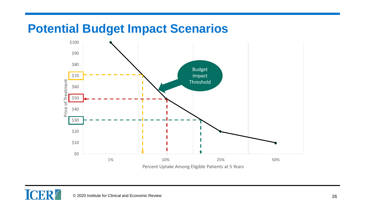#### **Potential Budget Impact Scenarios**

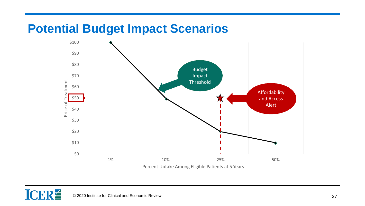#### **Potential Budget Impact Scenarios**

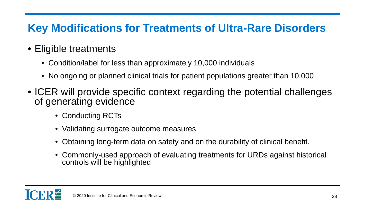#### **Key Modifications for Treatments of Ultra-Rare Disorders**

#### • Eligible treatments

- Condition/label for less than approximately 10,000 individuals
- No ongoing or planned clinical trials for patient populations greater than 10,000
- ICER will provide specific context regarding the potential challenges of generating evidence
	- Conducting RCTs
	- Validating surrogate outcome measures
	- Obtaining long-term data on safety and on the durability of clinical benefit.
	- Commonly-used approach of evaluating treatments for URDs against historical controls will be highlighted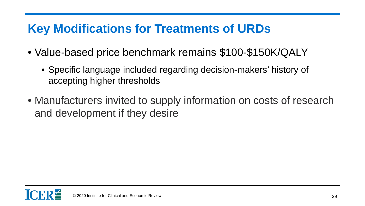## **Key Modifications for Treatments of URDs**

- Value-based price benchmark remains \$100-\$150K/QALY
	- Specific language included regarding decision-makers' history of accepting higher thresholds
- Manufacturers invited to supply information on costs of research and development if they desire

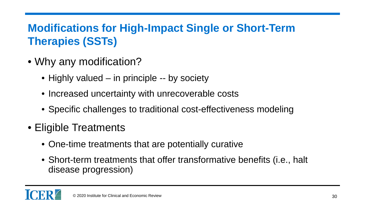### **Modifications for High-Impact Single or Short-Term Therapies (SSTs)**

- Why any modification?
	- Highly valued in principle -- by society
	- Increased uncertainty with unrecoverable costs
	- Specific challenges to traditional cost-effectiveness modeling
- Eligible Treatments
	- One-time treatments that are potentially curative
	- Short-term treatments that offer transformative benefits (i.e., halt disease progression)

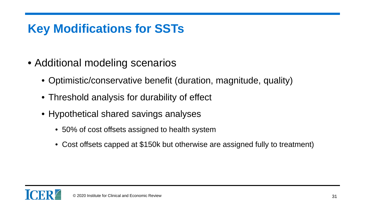# **Key Modifications for SSTs**

- Additional modeling scenarios
	- Optimistic/conservative benefit (duration, magnitude, quality)
	- Threshold analysis for durability of effect
	- Hypothetical shared savings analyses
		- 50% of cost offsets assigned to health system
		- Cost offsets capped at \$150k but otherwise are assigned fully to treatment)

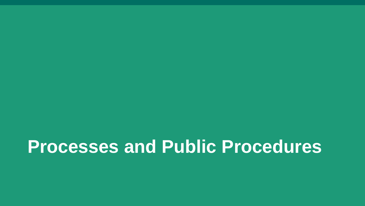# **Processes and Public Procedures**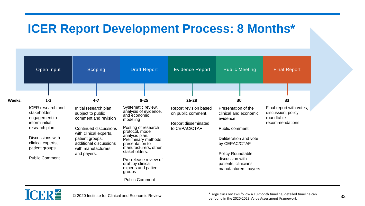#### **ICER Report Development Process: 8 Months\***

| Open Input                                                                                                                                                                      | Scoping                                                                                                                                                                                                 | <b>Draft Report</b>                                                                                                                                                                                                                                                                                   | <b>Evidence Report</b>                                                              | <b>Public Meeting</b>                                                                                                                                                                                          | <b>Final Report</b>                                                             |
|---------------------------------------------------------------------------------------------------------------------------------------------------------------------------------|---------------------------------------------------------------------------------------------------------------------------------------------------------------------------------------------------------|-------------------------------------------------------------------------------------------------------------------------------------------------------------------------------------------------------------------------------------------------------------------------------------------------------|-------------------------------------------------------------------------------------|----------------------------------------------------------------------------------------------------------------------------------------------------------------------------------------------------------------|---------------------------------------------------------------------------------|
|                                                                                                                                                                                 |                                                                                                                                                                                                         |                                                                                                                                                                                                                                                                                                       |                                                                                     |                                                                                                                                                                                                                |                                                                                 |
|                                                                                                                                                                                 |                                                                                                                                                                                                         |                                                                                                                                                                                                                                                                                                       |                                                                                     |                                                                                                                                                                                                                |                                                                                 |
| Weeks:<br>$1 - 3$                                                                                                                                                               | $4 - 7$                                                                                                                                                                                                 | $8 - 25$                                                                                                                                                                                                                                                                                              | $26 - 28$                                                                           | 30                                                                                                                                                                                                             | 33                                                                              |
| <b>ICER</b> research and<br>stakeholder<br>engagement to<br>inform initial<br>research plan<br>Discussions with<br>clinical experts,<br>patient groups<br><b>Public Comment</b> | Initial research plan<br>subject to public<br>comment and revision<br>Continued discussions<br>with clinical experts,<br>patient groups;<br>additional discussions<br>with manufacturers<br>and payers. | Systematic review,<br>analysis of evidence,<br>and economic<br>modeling<br>Posting of research<br>protocol, model<br>analysis plan.<br>Preliminary methods<br>presentation to<br>manufacturers, other<br>stakeholders.<br>Pre-release review of<br>draft by clinical<br>experts and patient<br>groups | Report revision based<br>on public comment.<br>Report disseminated<br>to CEPAC/CTAF | Presentation of the<br>clinical and economic<br>evidence<br>Public comment<br>Deliberation and vote<br>by CEPAC/CTAF<br>Policy Roundtable<br>discussion with<br>patients, clinicians,<br>manufacturers, payers | Final report with votes,<br>discussion, policy<br>roundtable<br>recommendations |



\*Large class reviews follow a 10-month timeline; detailed timeline can be found in the 2020-2023 Value Assessment Framework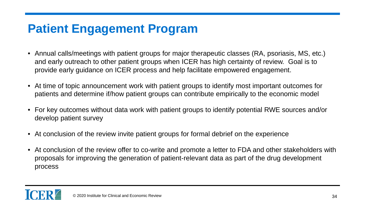# **Patient Engagement Program**

- Annual calls/meetings with patient groups for major therapeutic classes (RA, psoriasis, MS, etc.) and early outreach to other patient groups when ICER has high certainty of review. Goal is to provide early guidance on ICER process and help facilitate empowered engagement.
- At time of topic announcement work with patient groups to identify most important outcomes for patients and determine if/how patient groups can contribute empirically to the economic model
- For key outcomes without data work with patient groups to identify potential RWE sources and/or develop patient survey
- At conclusion of the review invite patient groups for formal debrief on the experience
- At conclusion of the review offer to co-write and promote a letter to FDA and other stakeholders with proposals for improving the generation of patient-relevant data as part of the drug development process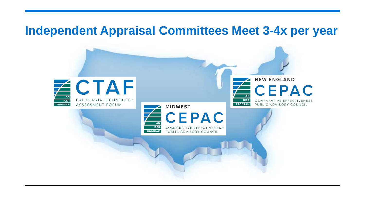#### **Independent Appraisal Committees Meet 3-4x per year**

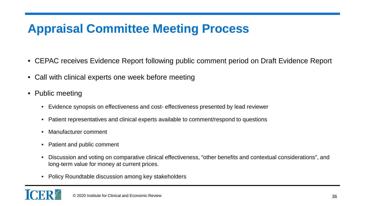# **Appraisal Committee Meeting Process**

- CEPAC receives Evidence Report following public comment period on Draft Evidence Report
- Call with clinical experts one week before meeting
- Public meeting
	- Evidence synopsis on effectiveness and cost- effectiveness presented by lead reviewer
	- Patient representatives and clinical experts available to comment/respond to questions
	- Manufacturer comment
	- Patient and public comment
	- Discussion and voting on comparative clinical effectiveness, "other benefits and contextual considerations", and long-term value for money at current prices.
	- Policy Roundtable discussion among key stakeholders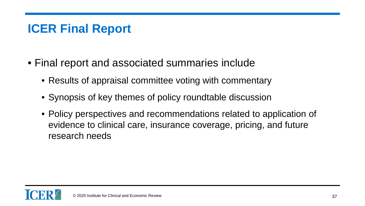# **ICER Final Report**

- Final report and associated summaries include
	- Results of appraisal committee voting with commentary
	- Synopsis of key themes of policy roundtable discussion
	- Policy perspectives and recommendations related to application of evidence to clinical care, insurance coverage, pricing, and future research needs

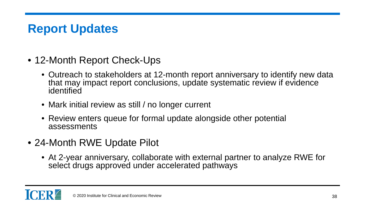# **Report Updates**

- 12-Month Report Check-Ups
	- Outreach to stakeholders at 12-month report anniversary to identify new data that may impact report conclusions, update systematic review if evidence identified
	- Mark initial review as still / no longer current
	- Review enters queue for formal update alongside other potential assessments
- 24-Month RWE Update Pilot
	- At 2-year anniversary, collaborate with external partner to analyze RWE for select drugs approved under accelerated pathways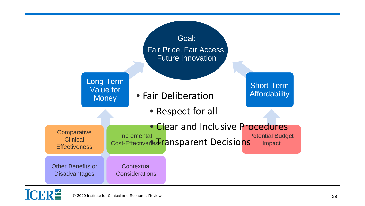